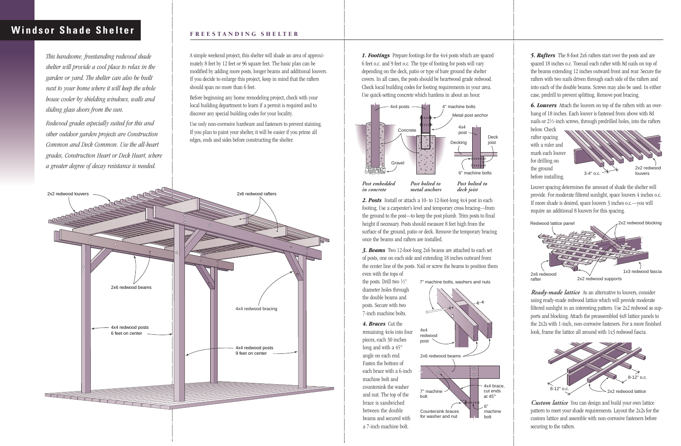*1. Footings* Prepare footings for the 4x4 posts which are spaced 6 feet o.c. and 9 feet o.c. The type of footing for posts will vary depending on the deck, patio or type of bare ground the shelter covers. In all cases, the posts should be heartwood grade redwood. Check local building codes for footing requirements in your area. Use quick-setting concrete which hardens in about an hour.

the posts. Drill two 1/2" diameter holes through the double beams and posts. Secure with two 7-inch machine bolts.

*2. Posts* Install or attach a 10- to 12-foot-long 4x4 post in each footing. Use a carpenter's level and temporary cross bracing—from the ground to the post—to keep the post plumb. Trim posts to final height if necessary. Posts should measure 8 feet high from the surface of the ground, patio or deck. Remove the temporary bracing once the beams and rafters are installed.

*3. Beams* Two 12-foot-long 2x6 beams are attached to each set of posts, one on each side and extending 18 inches outward from the center line of the posts. Nail or screw the beams to position them even with the tops of

*4. Braces* Cut the remaining 4x4s into four pieces, each 30 inches long and with a 45° angle on each end. Fasten the bottom of each brace with a 6-inch machine bolt and countersink the washer and nut. The top of the brace is sandwiched between the double beams and secured with a 7-inch machine bolt.

A simple weekend project, this shelter will shade an area of approximately 8 feet by 12 feet or 96 square feet. The basic plan can be modified by adding more posts, longer beams and additional louvers. If you decide to enlarge this project, keep in mind that the rafters should span no more than 6 feet.

Before beginning any home remodeling project, check with your local building department to learn if a permit is required and to discover any special building codes for your locality.

Use only non-corrosive hardware and fasteners to prevent staining. If you plan to paint your shelter, it will be easier if you prime all edges, ends and sides before constructing the shelter.

*5. Rafters* The 8-foot 2x6 rafters start over the posts and are spaced 18 inches o.c. Toenail each rafter with 8d nails on top of the beams extending 12 inches outward front and rear. Secure the rafters with two nails driven through each side of the rafters and into each of the double beams. Screws may also be used. In either case, predrill to prevent splitting. Remove post bracing.

*6. Louvers* Attach the louvers on top of the rafters with an overhang of 18 inches. Each louver is fastened from above with 8d nails or 21⁄2-inch screws, through predrilled holes, into the rafters

below. Check rafter spacing with a ruler and mark each louver for drilling on the ground before installing.

Louver spacing determines the amount of shade the shelter will provide. For moderate filtered sunlight, space louvers 4 inches o.c. If more shade is desired, space louvers 3 inches o.c.—you will require an additional 8 louvers for this spacing.

*Ready-made lattice* As an alternative to louvers, consider using ready-made redwood lattice which will provide moderate filtered sunlight in an interesting pattern. Use 2x2 redwood as supports and blocking. Attach the preassembled 4x8 lattice panels to the 2x2s with 1-inch, non-corrosive fasteners. For a more finished look, frame the lattice all around with 1x3 redwood fascia.

*Custom lattice* You can design and build your own lattice pattern to meet your shade requirements. Layout the 2x2s for the custom lattice and assemble with non-corrosive fasteners before securing to the rafters.

# **Windsor Shade Shelter FREESTANDING SHELTER**

*This handsome, freestanding redwood shade shelter will provide a cool place to relax in the garden or yard. The shelter can also be built next to your home where it will keep the whole house cooler by shielding windows, walls and sliding glass doors from the sun.*

*Redwood grades especially suited for this and other outdoor garden projects are Construction Common and Deck Common. Use the all-heart grades, Construction Heart or Deck Heart, where a greater degree of decay resistance is needed.*